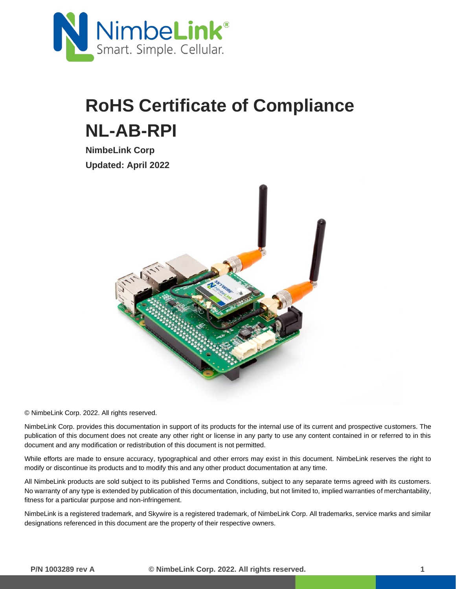

## **RoHS Certificate of Compliance NL-AB-RPI**

**NimbeLink Corp Updated: April 2022**



© NimbeLink Corp. 2022. All rights reserved.

NimbeLink Corp. provides this documentation in support of its products for the internal use of its current and prospective customers. The publication of this document does not create any other right or license in any party to use any content contained in or referred to in this document and any modification or redistribution of this document is not permitted.

While efforts are made to ensure accuracy, typographical and other errors may exist in this document. NimbeLink reserves the right to modify or discontinue its products and to modify this and any other product documentation at any time.

All NimbeLink products are sold subject to its published Terms and Conditions, subject to any separate terms agreed with its customers. No warranty of any type is extended by publication of this documentation, including, but not limited to, implied warranties of merchantability, fitness for a particular purpose and non-infringement.

NimbeLink is a registered trademark, and Skywire is a registered trademark, of NimbeLink Corp. All trademarks, service marks and similar designations referenced in this document are the property of their respective owners.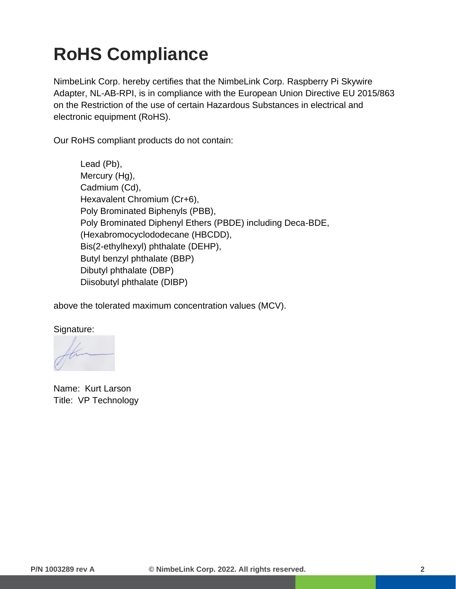## **RoHS Compliance**

NimbeLink Corp. hereby certifies that the NimbeLink Corp. Raspberry Pi Skywire Adapter, NL-AB-RPI, is in compliance with the European Union Directive EU 2015/863 on the Restriction of the use of certain Hazardous Substances in electrical and electronic equipment (RoHS).

Our RoHS compliant products do not contain:

Lead (Pb), Mercury (Hg), Cadmium (Cd), Hexavalent Chromium (Cr+6), Poly Brominated Biphenyls (PBB), Poly Brominated Diphenyl Ethers (PBDE) including Deca-BDE, (Hexabromocyclododecane (HBCDD), Bis(2-ethylhexyl) phthalate (DEHP), Butyl benzyl phthalate (BBP) Dibutyl phthalate (DBP) Diisobutyl phthalate (DIBP)

above the tolerated maximum concentration values (MCV).

Signature:

Name: Kurt Larson Title: VP Technology